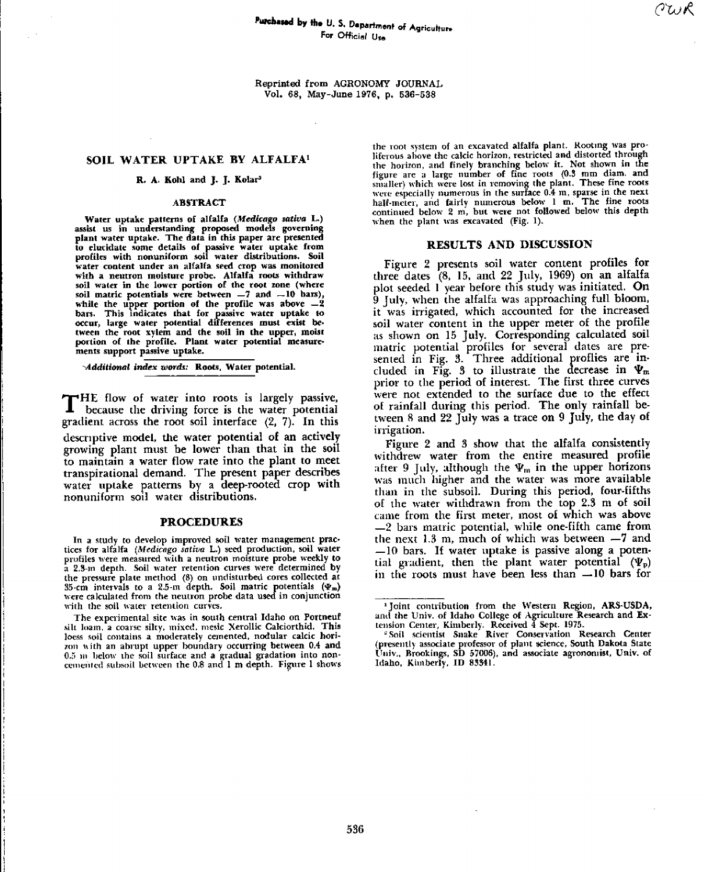Reprinted from AGRONOMY JOURNAL Vol. 68, May-June 1976, p. 536-538

## SOIL WATER **UPTAKE BY** ALFALFA'

### R. A. Kohl and J. J. Kolar'

### **ABSTRACT**

Water uptake patterns of alfalfa *(Medicago sativa L.)* assist us in understanding proposed models governing plant water uptake. The data in this paper are presented to elucidate some details of passive water uptake from profiles with nonuniform soil water distributions. Soil water content under an alfalfa seed crop was monitored with a neutron moisture probe. Alfalfa roots withdraw soil water in the lower portion of the root zone (where soil matric potentials were between  $-7$  and  $-10$  bars), while the upper portion of the profile was above  $-2$ bars. This indicates that for passive water uptake to occur, large water potential differences must exist be. tween the root xylem and the soil in the upper, mois portion of the profile. Plant water potential measurements support passive uptake.

*-Additional index words:* Roots. Water potential.

THE flow of water into roots is largely passive<br>because the driving force is the water potential HE flow of water into roots is largely passive, gradient across the root soil interface (2, 7). In this descriptive model, the water potential of **an** actively growing plant must be lower than that in the soil to maintain a water flow rate into the plant to meet transpirational demand. The present paper describes water uptake patterns by a deep-rooted crop with nonuniform soil water distributions.

## **PROCEDURES**

In *a* study to develop improved soil water management practices for alfalfa *(Medicago sativa* L.) seed production, soil water profiles were measured with a neutron moisture probe weekly to a 2.3-m depth. Soil water retention curves were determined by the pressure plate method (8) on undisturbed cores collected at 35-cm intervals to a 2.5-m depth. Soil matric potentials  $(\Psi_m)$ were calculated from the neutron probe data used in conjunction with the soil water retention curves.

The experimental site was in south central Idaho on Portneuf silt loam, a coarse silty, mixed. mesic Xerollic Calciorthid. This loess soil contains a moderately cemented, nodular calcic horizon with an abrupt upper boundary occurring between 0.4 and 0.5 ni below the soil surface and a gradual gradation into noncemented subsoil between the 0.8 and 1 m depth. Figure 1 shows

the root system of an excavated alfalfa plant. Rooting was proliferous above the calcic horizon, restricted and distorted through the horizon, and finely branching below it. Not shown in the figure are a large number of fine roots (0.3 mm diam. and smaller) which were lost in removing the plant. These fine roots were especially numerous in the surface 0.4 m, sparse in the next<br>half-meter, and fairly numerous below 1 m. The fine roots continued below 2 m, but were not followed below this depth when the plant was excavated (Fig. 1).

# **RESULTS AND DISCUSSION**

Figure 2 presents soil water content profiles for three dates (8, 15, and 22 July, 1969) on an alfalfa plot seeded 1 year before this study was initiated. On 9 July, when the alfalfa was approaching full bloom, it was irrigated, which accounted for the increased soil water content in the upper meter of the profile as shown on 15 July. Corresponding calculated soil matric potential profiles for several dates are presented in Fig. 3. Three additional proflies are included in Fig. 3 to illustrate the decrease in  $\Psi_{\rm m}$ prior to the period of interest. The first three curves were not extended to the surface due to the effect of rainfall during this period. The only rainfall between 8 and 22 July was a trace on 9 July, the day of irrigation.

Figure 2 and 3 show that the alfalfa consistently withdrew water from the entire measured profile after 9 July, although the  $\Psi_m$  in the upper horizons was much higher and the water was more available than in the subsoil. During this period, four-fifths of the water withdrawn from the top 2.3 m of soil came from the first meter, most of which was above —2 bars metric potential, while one-fifth came from the next 1.3 m, much of which was between —7 and —10 bars. If water uptake is passive along a potential gradient, then the plant water potential  $(\Psi_p)$ in the roots must have been less than —10 bars for

Joint contribution from the Western Region, ARS-USDA, and the Univ. of Idaho College of Agriculture Research and Ex-

tension Center, Kimberly. Received 4 Sept. 1975. Soil scientist Snake River Conservation Research Center (presently associate professor of plant science, South Dakota State Univ., Brookings, SD 57006), and associate agronomist, Univ. of Idaho, Kimberly, ID 83341.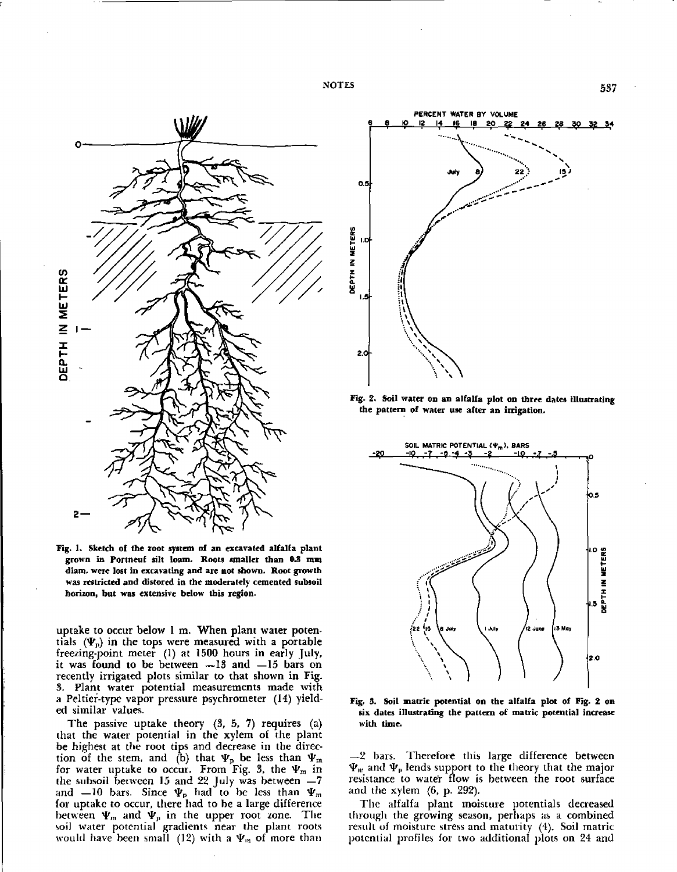NOTES 537



Fig. 1. Sketch of the root system of an excavated alfalfa plant grown in Portneuf silt loam. Roots smaller than 0.3 rum diam. were lost in excavating and are not shown. Root growth was restricted and distored in the moderately cemented subsoil horizon, but was extensive below this region.

uptake to occur below 1 m. When plant water potentials  $(\Psi_p)$  in the tops were measured with a portable freezing-point meter (1) at 1500 hours in early July, it was found to be between  $-13$  and  $-15$  bars on recently irrigated plots similar to that shown in Fig. 3. Plant water potential measurements made with a Peltier-type vapor pressure psychrometer (14) yielded similar values.

The passive uptake theory (3, 5, 7) requires (a) that the water potential in the xylem of the plant be highest at the root tips and decrease in the direction of the stem, and (b) that  $\Psi_p$  be less than  $\Psi_m$ for water uptake to occur. From Fig. 3, the  $\Psi_m$  in the subsoil between 15 and 22 July was between  $-7$ and —10 bars. Since  $\Psi_p$  had to be less than  $\Psi_m$ for uptake to occur, there had to he a large difference between  $\Psi_m$  and  $\Psi_p$  in the upper root zone. The soil water potential gradients near the plant roots would have been small (12) with a  $\Psi_m$  of more than



Fig. 2. Soil water on an alfalfa plot on three dates illustrating the pattern of water use after an irrigation.



Fig. 3. Soil matric potential on the alfalfa plot of Fig. 2 on six dates illustrating the pattern of matric potential increase with time.

—2 bars. Therefore this large difference between  $\Psi_{\rm m}$  and  $\Psi_{\rm p}$  lends support to the theory that the major resistance to water flow is between the root surface and the xylem (6, p. 292).

The alfalfa plant moisture potentials decreased through the growing season, perhaps as a combined result of moisture stress and maturity (4). Soil matric potential profiles for two additional plots on 24 and